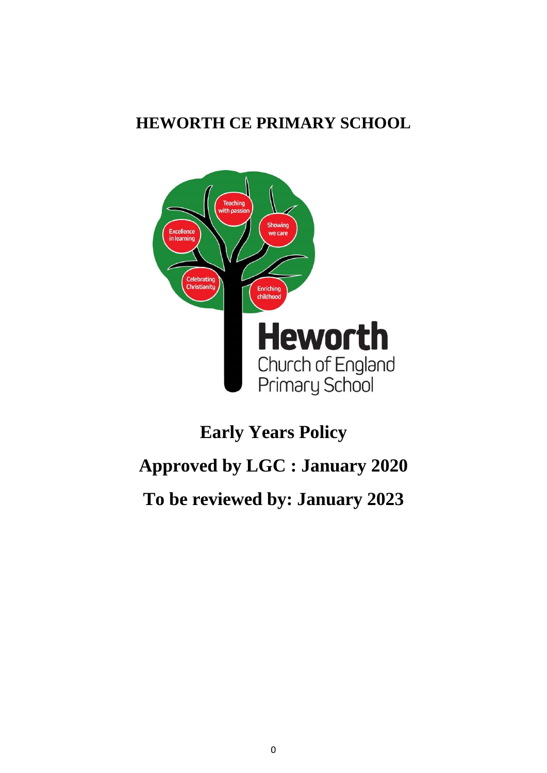## **HEWORTH CE PRIMARY SCHOOL**



# **Early Years Policy**

# **Approved by LGC : January 2020**

# **To be reviewed by: January 2023**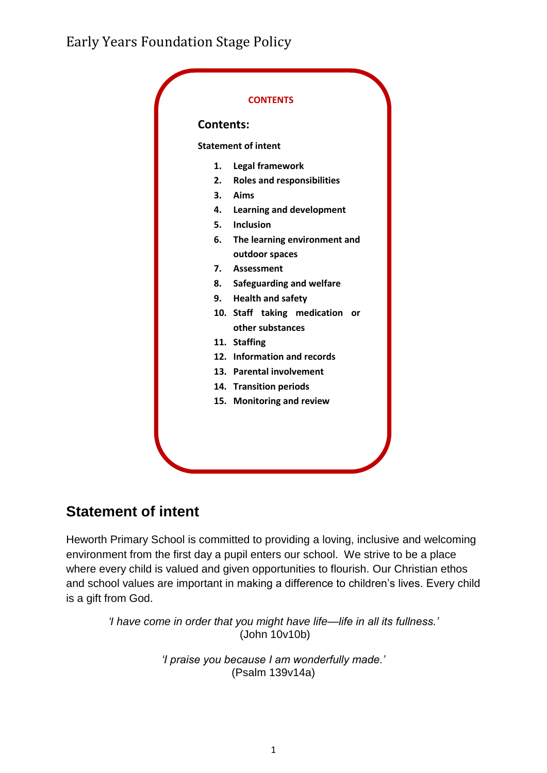

## **Statement of intent**

Heworth Primary School is committed to providing a loving, inclusive and welcoming environment from the first day a pupil enters our school. We strive to be a place where every child is valued and given opportunities to flourish. Our Christian ethos and school values are important in making a difference to children's lives. Every child is a gift from God.

> *'I have come in order that you might have life—life in all its fullness.'* (John 10v10b)

> > *'I praise you because I am wonderfully made.'*  (Psalm 139v14a)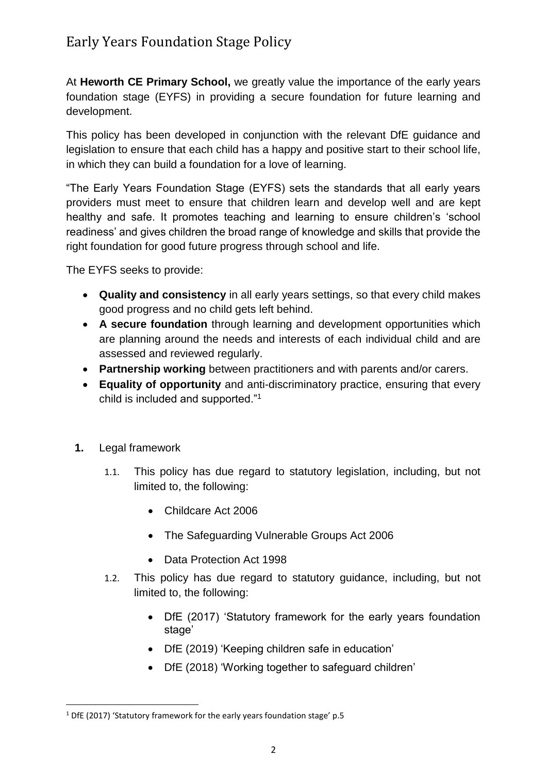At **Heworth CE Primary School,** we greatly value the importance of the early years foundation stage (EYFS) in providing a secure foundation for future learning and development.

This policy has been developed in conjunction with the relevant DfE guidance and legislation to ensure that each child has a happy and positive start to their school life, in which they can build a foundation for a love of learning.

"The Early Years Foundation Stage (EYFS) sets the standards that all early years providers must meet to ensure that children learn and develop well and are kept healthy and safe. It promotes teaching and learning to ensure children's 'school readiness' and gives children the broad range of knowledge and skills that provide the right foundation for good future progress through school and life.

The EYFS seeks to provide:

- **Quality and consistency** in all early years settings, so that every child makes good progress and no child gets left behind.
- **A secure foundation** through learning and development opportunities which are planning around the needs and interests of each individual child and are assessed and reviewed regularly.
- **Partnership working** between practitioners and with parents and/or carers.
- **Equality of opportunity** and anti-discriminatory practice, ensuring that every child is included and supported."<sup>1</sup>
- **1.** Legal framework

**.** 

- 1.1. This policy has due regard to statutory legislation, including, but not limited to, the following:
	- Childcare Act 2006
	- The Safeguarding Vulnerable Groups Act 2006
	- Data Protection Act 1998
- 1.2. This policy has due regard to statutory guidance, including, but not limited to, the following:
	- DfE (2017) 'Statutory framework for the early years foundation stage'
	- DfE (2019) 'Keeping children safe in education'
	- DfE (2018) 'Working together to safeguard children'

<sup>1</sup> DfE (2017) 'Statutory framework for the early years foundation stage' p.5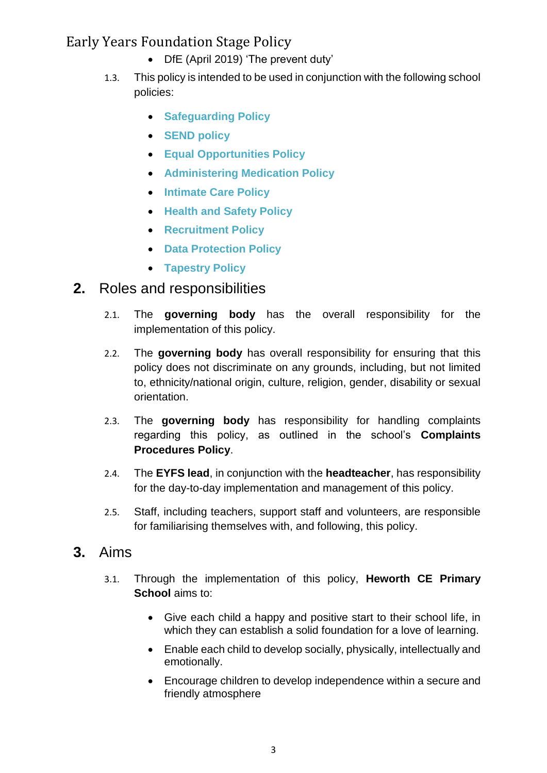- DfE (April 2019) 'The prevent duty'
- 1.3. This policy is intended to be used in conjunction with the following school policies:
	- **Safeguarding Policy**
	- **SEND policy**
	- **Equal Opportunities Policy**
	- **Administering Medication Policy**
	- **Intimate Care Policy**
	- **Health and Safety Policy**
	- **Recruitment Policy**
	- **Data Protection Policy**
	- **Tapestry Policy**

#### <span id="page-3-0"></span>**2.** Roles and responsibilities

- 2.1. The **governing body** has the overall responsibility for the implementation of this policy.
- 2.2. The **governing body** has overall responsibility for ensuring that this policy does not discriminate on any grounds, including, but not limited to, ethnicity/national origin, culture, religion, gender, disability or sexual orientation.
- 2.3. The **governing body** has responsibility for handling complaints regarding this policy, as outlined in the school's **Complaints Procedures Policy**.
- 2.4. The **EYFS lead**, in conjunction with the **headteacher**, has responsibility for the day-to-day implementation and management of this policy.
- 2.5. Staff, including teachers, support staff and volunteers, are responsible for familiarising themselves with, and following, this policy.

#### <span id="page-3-1"></span>**3.** Aims

- 3.1. Through the implementation of this policy, **Heworth CE Primary School** aims to:
	- Give each child a happy and positive start to their school life, in which they can establish a solid foundation for a love of learning.
	- Enable each child to develop socially, physically, intellectually and emotionally.
	- Encourage children to develop independence within a secure and friendly atmosphere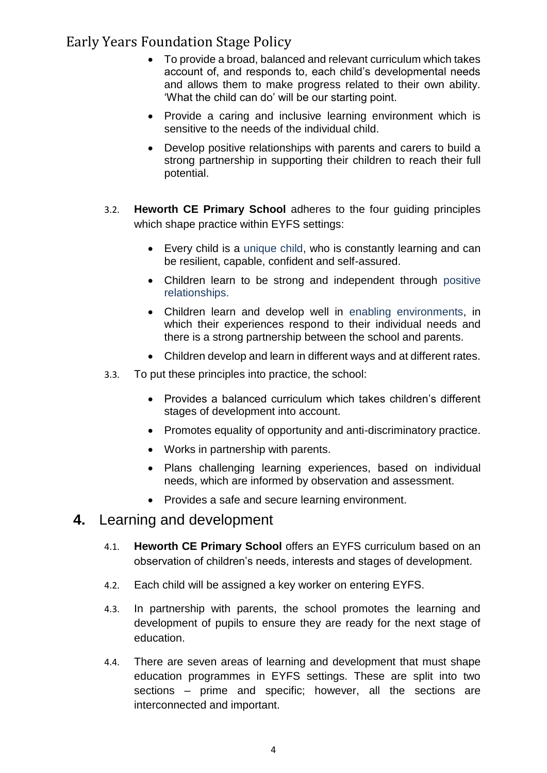- To provide a broad, balanced and relevant curriculum which takes account of, and responds to, each child's developmental needs and allows them to make progress related to their own ability. 'What the child can do' will be our starting point.
- Provide a caring and inclusive learning environment which is sensitive to the needs of the individual child.
- Develop positive relationships with parents and carers to build a strong partnership in supporting their children to reach their full potential.
- 3.2. **Heworth CE Primary School** adheres to the four guiding principles which shape practice within EYFS settings:
	- Every child is a unique child, who is constantly learning and can be resilient, capable, confident and self-assured.
	- Children learn to be strong and independent through positive relationships.
	- Children learn and develop well in enabling environments, in which their experiences respond to their individual needs and there is a strong partnership between the school and parents.
	- Children develop and learn in different ways and at different rates.
- 3.3. To put these principles into practice, the school:
	- Provides a balanced curriculum which takes children's different stages of development into account.
	- Promotes equality of opportunity and anti-discriminatory practice.
	- Works in partnership with parents.
	- Plans challenging learning experiences, based on individual needs, which are informed by observation and assessment.
	- Provides a safe and secure learning environment.

#### **4.** Learning and development

- 4.1. **Heworth CE Primary School** offers an EYFS curriculum based on an observation of children's needs, interests and stages of development.
- 4.2. Each child will be assigned a key worker on entering EYFS.
- 4.3. In partnership with parents, the school promotes the learning and development of pupils to ensure they are ready for the next stage of education.
- 4.4. There are seven areas of learning and development that must shape education programmes in EYFS settings. These are split into two sections – prime and specific; however, all the sections are interconnected and important.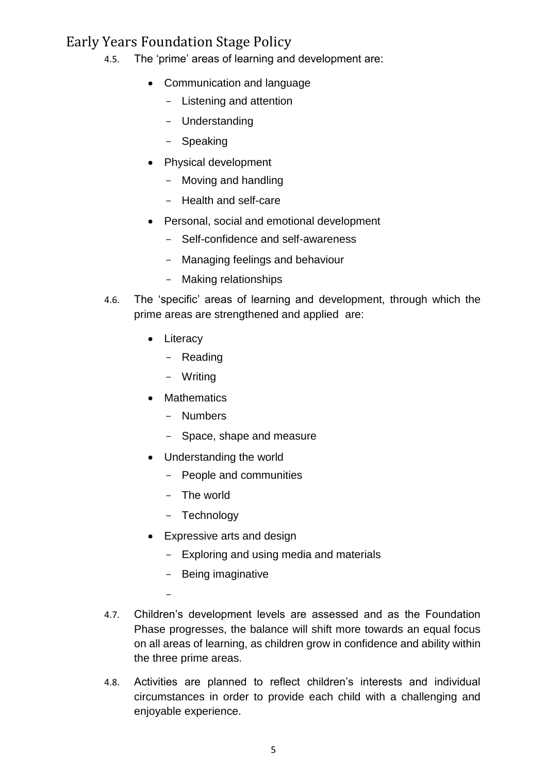- 4.5. The 'prime' areas of learning and development are:
	- Communication and language
		- Listening and attention
		- Understanding
		- Speaking
	- Physical development
		- Moving and handling
		- Health and self-care
	- Personal, social and emotional development
		- Self-confidence and self-awareness
		- Managing feelings and behaviour
		- Making relationships
- 4.6. The 'specific' areas of learning and development, through which the prime areas are strengthened and applied are:
	- Literacy
		- Reading
		- Writing
	- Mathematics
		- Numbers
		- Space, shape and measure
	- Understanding the world
		- People and communities
		- The world
		- Technology

-

- Expressive arts and design
	- Exploring and using media and materials
	- Being imaginative
- 4.7. Children's development levels are assessed and as the Foundation Phase progresses, the balance will shift more towards an equal focus on all areas of learning, as children grow in confidence and ability within the three prime areas.
- 4.8. Activities are planned to reflect children's interests and individual circumstances in order to provide each child with a challenging and enjoyable experience.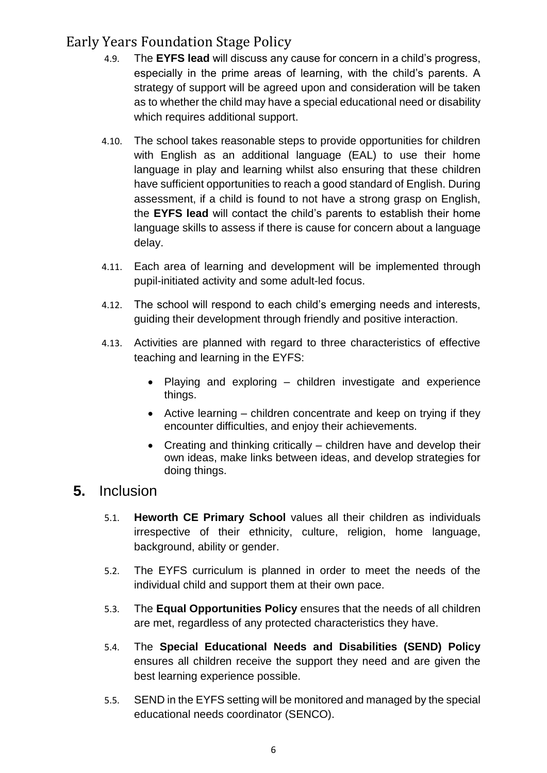- 4.9. The **EYFS lead** will discuss any cause for concern in a child's progress, especially in the prime areas of learning, with the child's parents. A strategy of support will be agreed upon and consideration will be taken as to whether the child may have a special educational need or disability which requires additional support.
- 4.10. The school takes reasonable steps to provide opportunities for children with English as an additional language (EAL) to use their home language in play and learning whilst also ensuring that these children have sufficient opportunities to reach a good standard of English. During assessment, if a child is found to not have a strong grasp on English, the **EYFS lead** will contact the child's parents to establish their home language skills to assess if there is cause for concern about a language delay.
- 4.11. Each area of learning and development will be implemented through pupil-initiated activity and some adult-led focus.
- 4.12. The school will respond to each child's emerging needs and interests, guiding their development through friendly and positive interaction.
- 4.13. Activities are planned with regard to three characteristics of effective teaching and learning in the EYFS:
	- Playing and exploring children investigate and experience things.
	- Active learning children concentrate and keep on trying if they encounter difficulties, and enjoy their achievements.
	- Creating and thinking critically children have and develop their own ideas, make links between ideas, and develop strategies for doing things.

#### **5.** Inclusion

- 5.1. **Heworth CE Primary School** values all their children as individuals irrespective of their ethnicity, culture, religion, home language, background, ability or gender.
- 5.2. The EYFS curriculum is planned in order to meet the needs of the individual child and support them at their own pace.
- 5.3. The **Equal Opportunities Policy** ensures that the needs of all children are met, regardless of any protected characteristics they have.
- 5.4. The **Special Educational Needs and Disabilities (SEND) Policy**  ensures all children receive the support they need and are given the best learning experience possible.
- 5.5. SEND in the EYFS setting will be monitored and managed by the special educational needs coordinator (SENCO).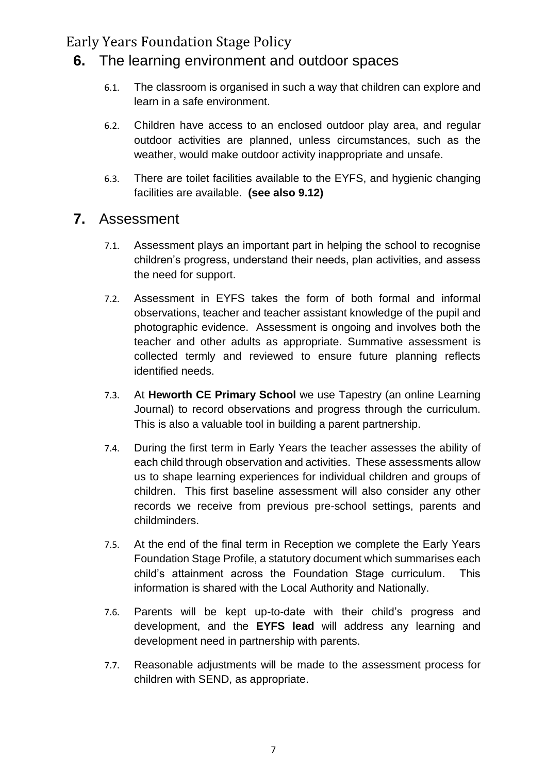#### <span id="page-7-0"></span>**6.** The learning environment and outdoor spaces

- 6.1. The classroom is organised in such a way that children can explore and learn in a safe environment.
- 6.2. Children have access to an enclosed outdoor play area, and regular outdoor activities are planned, unless circumstances, such as the weather, would make outdoor activity inappropriate and unsafe.
- 6.3. There are toilet facilities available to the EYFS, and hygienic changing facilities are available. **(see also 9.12)**

#### <span id="page-7-1"></span>**7.** Assessment

- 7.1. Assessment plays an important part in helping the school to recognise children's progress, understand their needs, plan activities, and assess the need for support.
- 7.2. Assessment in EYFS takes the form of both formal and informal observations, teacher and teacher assistant knowledge of the pupil and photographic evidence. Assessment is ongoing and involves both the teacher and other adults as appropriate. Summative assessment is collected termly and reviewed to ensure future planning reflects identified needs.
- 7.3. At **Heworth CE Primary School** we use Tapestry (an online Learning Journal) to record observations and progress through the curriculum. This is also a valuable tool in building a parent partnership.
- 7.4. During the first term in Early Years the teacher assesses the ability of each child through observation and activities. These assessments allow us to shape learning experiences for individual children and groups of children. This first baseline assessment will also consider any other records we receive from previous pre-school settings, parents and childminders.
- 7.5. At the end of the final term in Reception we complete the Early Years Foundation Stage Profile, a statutory document which summarises each child's attainment across the Foundation Stage curriculum. This information is shared with the Local Authority and Nationally.
- 7.6. Parents will be kept up-to-date with their child's progress and development, and the **EYFS lead** will address any learning and development need in partnership with parents.
- 7.7. Reasonable adjustments will be made to the assessment process for children with SEND, as appropriate.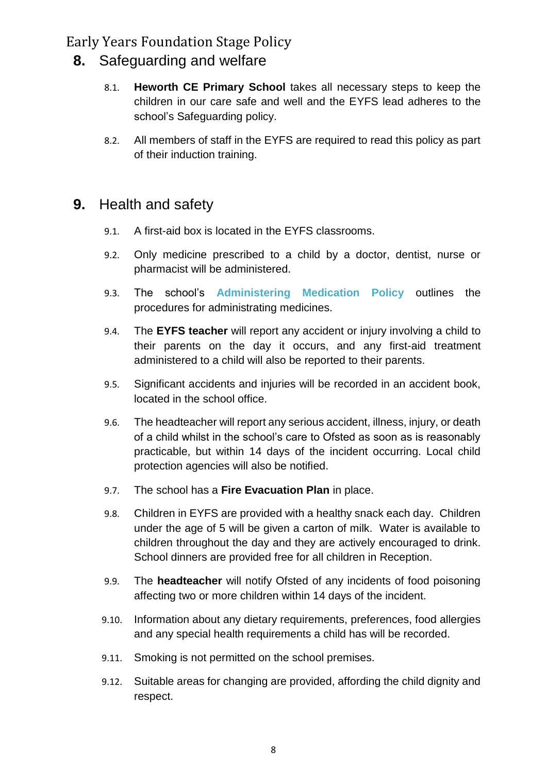- <span id="page-8-0"></span>**8.** Safeguarding and welfare
	- 8.1. **Heworth CE Primary School** takes all necessary steps to keep the children in our care safe and well and the EYFS lead adheres to the school's Safeguarding policy.
	- 8.2. All members of staff in the EYFS are required to read this policy as part of their induction training.

### <span id="page-8-1"></span>**9.** Health and safety

- 9.1. A first-aid box is located in the EYFS classrooms.
- 9.2. Only medicine prescribed to a child by a doctor, dentist, nurse or pharmacist will be administered.
- 9.3. The school's **Administering Medication Policy** outlines the procedures for administrating medicines.
- 9.4. The **EYFS teacher** will report any accident or injury involving a child to their parents on the day it occurs, and any first-aid treatment administered to a child will also be reported to their parents.
- 9.5. Significant accidents and injuries will be recorded in an accident book, located in the school office.
- 9.6. The headteacher will report any serious accident, illness, injury, or death of a child whilst in the school's care to Ofsted as soon as is reasonably practicable, but within 14 days of the incident occurring. Local child protection agencies will also be notified.
- 9.7. The school has a **Fire Evacuation Plan** in place.
- 9.8. Children in EYFS are provided with a healthy snack each day. Children under the age of 5 will be given a carton of milk. Water is available to children throughout the day and they are actively encouraged to drink. School dinners are provided free for all children in Reception.
- 9.9. The **headteacher** will notify Ofsted of any incidents of food poisoning affecting two or more children within 14 days of the incident.
- 9.10. Information about any dietary requirements, preferences, food allergies and any special health requirements a child has will be recorded.
- 9.11. Smoking is not permitted on the school premises.
- 9.12. Suitable areas for changing are provided, affording the child dignity and respect.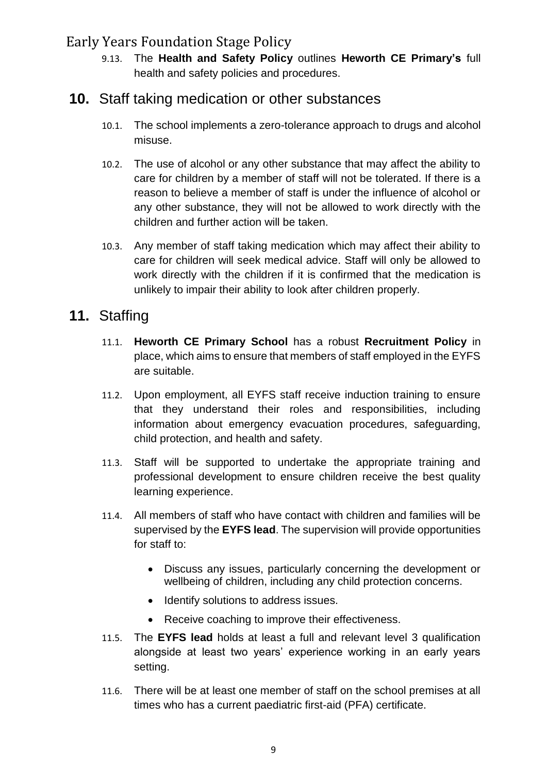9.13. The **Health and Safety Policy** outlines **Heworth CE Primary's** full health and safety policies and procedures.

#### <span id="page-9-0"></span>**10.** Staff taking medication or other substances

- 10.1. The school implements a zero-tolerance approach to drugs and alcohol misuse.
- 10.2. The use of alcohol or any other substance that may affect the ability to care for children by a member of staff will not be tolerated. If there is a reason to believe a member of staff is under the influence of alcohol or any other substance, they will not be allowed to work directly with the children and further action will be taken.
- 10.3. Any member of staff taking medication which may affect their ability to care for children will seek medical advice. Staff will only be allowed to work directly with the children if it is confirmed that the medication is unlikely to impair their ability to look after children properly.

### <span id="page-9-1"></span>**11.** Staffing

- 11.1. **Heworth CE Primary School** has a robust **Recruitment Policy** in place, which aims to ensure that members of staff employed in the EYFS are suitable.
- 11.2. Upon employment, all EYFS staff receive induction training to ensure that they understand their roles and responsibilities, including information about emergency evacuation procedures, safeguarding, child protection, and health and safety.
- 11.3. Staff will be supported to undertake the appropriate training and professional development to ensure children receive the best quality learning experience.
- 11.4. All members of staff who have contact with children and families will be supervised by the **EYFS lead**. The supervision will provide opportunities for staff to:
	- Discuss any issues, particularly concerning the development or wellbeing of children, including any child protection concerns.
	- Identify solutions to address issues.
	- Receive coaching to improve their effectiveness.
- 11.5. The **EYFS lead** holds at least a full and relevant level 3 qualification alongside at least two years' experience working in an early years setting.
- 11.6. There will be at least one member of staff on the school premises at all times who has a current paediatric first-aid (PFA) certificate.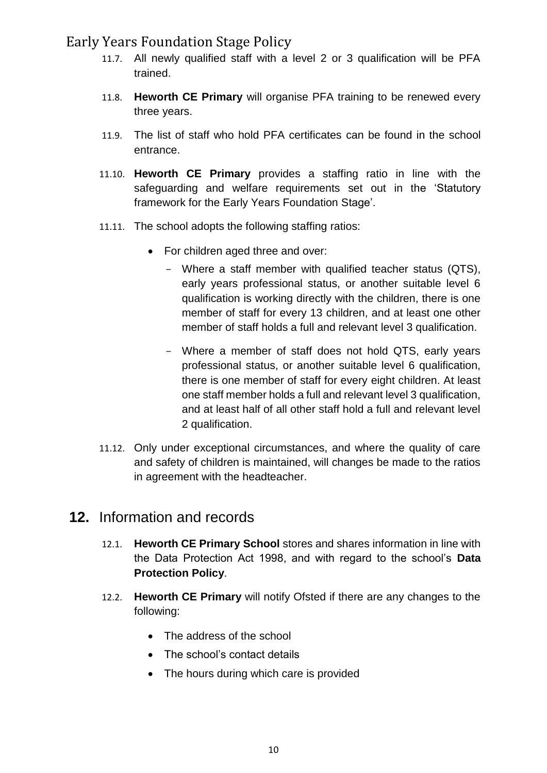- 11.7. All newly qualified staff with a level 2 or 3 qualification will be PFA trained.
- 11.8. **Heworth CE Primary** will organise PFA training to be renewed every three years.
- 11.9. The list of staff who hold PFA certificates can be found in the school entrance.
- 11.10. **Heworth CE Primary** provides a staffing ratio in line with the safeguarding and welfare requirements set out in the 'Statutory framework for the Early Years Foundation Stage'.
- 11.11. The school adopts the following staffing ratios:
	- For children aged three and over:
		- Where a staff member with qualified teacher status (QTS), early years professional status, or another suitable level 6 qualification is working directly with the children, there is one member of staff for every 13 children, and at least one other member of staff holds a full and relevant level 3 qualification.
		- Where a member of staff does not hold QTS, early years professional status, or another suitable level 6 qualification, there is one member of staff for every eight children. At least one staff member holds a full and relevant level 3 qualification, and at least half of all other staff hold a full and relevant level 2 qualification.
- 11.12. Only under exceptional circumstances, and where the quality of care and safety of children is maintained, will changes be made to the ratios in agreement with the headteacher.

#### <span id="page-10-0"></span>**12.** Information and records

- 12.1. **Heworth CE Primary School** stores and shares information in line with the Data Protection Act 1998, and with regard to the school's **Data Protection Policy**.
- 12.2. **Heworth CE Primary** will notify Ofsted if there are any changes to the following:
	- The address of the school
	- The school's contact details
	- The hours during which care is provided